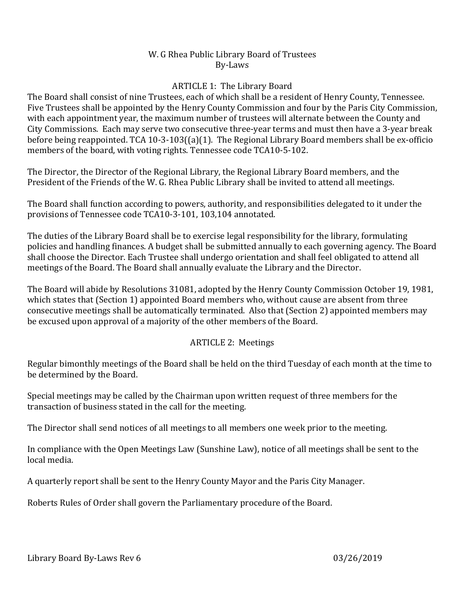## W. G Rhea Public Library Board of Trustees By‐Laws

# ARTICLE 1: The Library Board

The Board shall consist of nine Trustees, each of which shall be a resident of Henry County, Tennessee. Five Trustees shall be appointed by the Henry County Commission and four by the Paris City Commission, with each appointment year, the maximum number of trustees will alternate between the County and City Commissions. Each may serve two consecutive three-year terms and must then have a 3-year break before being reappointed. TCA 10-3-103((a)(1). The Regional Library Board members shall be ex-officio members of the board, with voting rights. Tennessee code TCA10-5-102.

The Director, the Director of the Regional Library, the Regional Library Board members, and the President of the Friends of the W. G. Rhea Public Library shall be invited to attend all meetings.

The Board shall function according to powers, authority, and responsibilities delegated to it under the provisions of Tennessee code TCA10-3-101, 103,104 annotated.

The duties of the Library Board shall be to exercise legal responsibility for the library, formulating policies and handling finances. A budget shall be submitted annually to each governing agency. The Board shall choose the Director. Each Trustee shall undergo orientation and shall feel obligated to attend all meetings of the Board. The Board shall annually evaluate the Library and the Director.

The Board will abide by Resolutions 31081, adopted by the Henry County Commission October 19, 1981, which states that (Section 1) appointed Board members who, without cause are absent from three consecutive meetings shall be automatically terminated. Also that (Section 2) appointed members may be excused upon approval of a majority of the other members of the Board.

# ARTICLE 2: Meetings

Regular bimonthly meetings of the Board shall be held on the third Tuesday of each month at the time to be determined by the Board.

Special meetings may be called by the Chairman upon written request of three members for the transaction of business stated in the call for the meeting.

The Director shall send notices of all meetings to all members one week prior to the meeting.

In compliance with the Open Meetings Law (Sunshine Law), notice of all meetings shall be sent to the local media.

A quarterly report shall be sent to the Henry County Mayor and the Paris City Manager.

Roberts Rules of Order shall govern the Parliamentary procedure of the Board.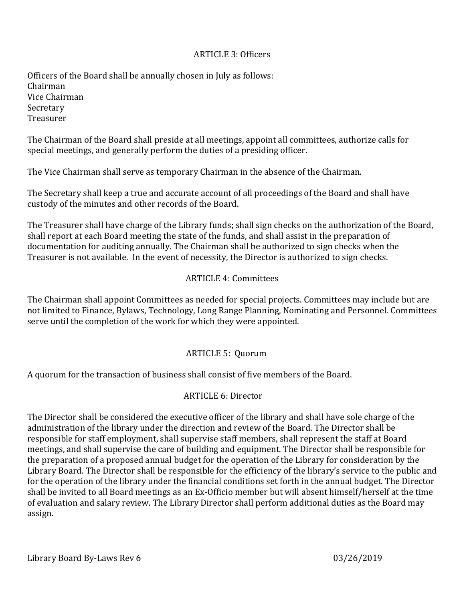## ARTICLE 3: Officers

Officers of the Board shall be annually chosen in July as follows: Chairman Vice Chairman Secretary Treasurer 

The Chairman of the Board shall preside at all meetings, appoint all committees, authorize calls for special meetings, and generally perform the duties of a presiding officer.

The Vice Chairman shall serve as temporary Chairman in the absence of the Chairman.

The Secretary shall keep a true and accurate account of all proceedings of the Board and shall have custody of the minutes and other records of the Board.

The Treasurer shall have charge of the Library funds; shall sign checks on the authorization of the Board, shall report at each Board meeting the state of the funds, and shall assist in the preparation of documentation for auditing annually. The Chairman shall be authorized to sign checks when the Treasurer is not available. In the event of necessity, the Director is authorized to sign checks.

## ARTICLE 4: Committees

The Chairman shall appoint Committees as needed for special projects. Committees may include but are not limited to Finance, Bylaws, Technology, Long Range Planning, Nominating and Personnel. Committees serve until the completion of the work for which they were appointed.

# ARTICLE 5: Quorum

A quorum for the transaction of business shall consist of five members of the Board.

## ARTICLE 6: Director

The Director shall be considered the executive officer of the library and shall have sole charge of the administration of the library under the direction and review of the Board. The Director shall be responsible for staff employment, shall supervise staff members, shall represent the staff at Board meetings, and shall supervise the care of building and equipment. The Director shall be responsible for the preparation of a proposed annual budget for the operation of the Library for consideration by the Library Board. The Director shall be responsible for the efficiency of the library's service to the public and for the operation of the library under the financial conditions set forth in the annual budget. The Director shall be invited to all Board meetings as an Ex-Officio member but will absent himself/herself at the time of evaluation and salary review. The Library Director shall perform additional duties as the Board may assign.